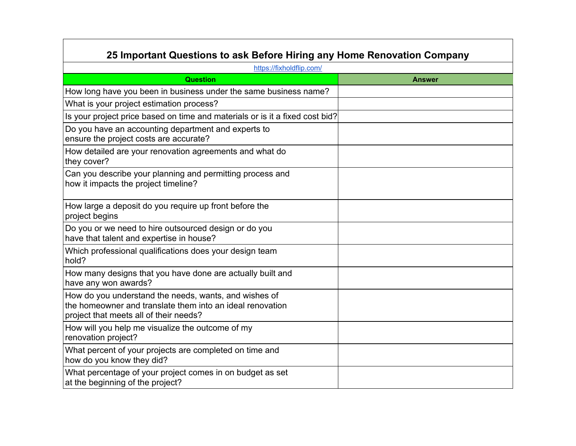| 25 Important Questions to ask Before Hiring any Home Renovation Company                                                                                      |               |  |
|--------------------------------------------------------------------------------------------------------------------------------------------------------------|---------------|--|
| https://fixholdflip.com/                                                                                                                                     |               |  |
| <b>Question</b>                                                                                                                                              | <b>Answer</b> |  |
| How long have you been in business under the same business name?                                                                                             |               |  |
| What is your project estimation process?                                                                                                                     |               |  |
| Is your project price based on time and materials or is it a fixed cost bid?                                                                                 |               |  |
| Do you have an accounting department and experts to<br>ensure the project costs are accurate?                                                                |               |  |
| How detailed are your renovation agreements and what do<br>they cover?                                                                                       |               |  |
| Can you describe your planning and permitting process and<br>how it impacts the project timeline?                                                            |               |  |
| How large a deposit do you require up front before the<br>project begins                                                                                     |               |  |
| Do you or we need to hire outsourced design or do you<br>have that talent and expertise in house?                                                            |               |  |
| Which professional qualifications does your design team<br>hold?                                                                                             |               |  |
| How many designs that you have done are actually built and<br>have any won awards?                                                                           |               |  |
| How do you understand the needs, wants, and wishes of<br>the homeowner and translate them into an ideal renovation<br>project that meets all of their needs? |               |  |
| How will you help me visualize the outcome of my<br>renovation project?                                                                                      |               |  |
| What percent of your projects are completed on time and<br>how do you know they did?                                                                         |               |  |
| What percentage of your project comes in on budget as set<br>at the beginning of the project?                                                                |               |  |

┑